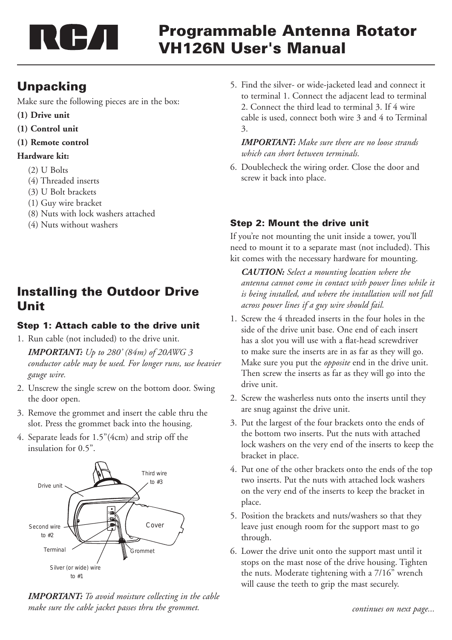

# Programmable Antenna Rotator VH126N User's Manual

## **Unpacking**

Make sure the following pieces are in the box:

- **(1) Drive unit**
- **(1) Control unit**
- **(1) Remote control**

### **Hardware kit:**

- (2) U Bolts
- (4) Threaded inserts
- (3) U Bolt brackets
- (1) Guy wire bracket
- (8) Nuts with lock washers attached
- (4) Nuts without washers

## Installing the Outdoor Drive Unit

### Step 1: Attach cable to the drive unit

1. Run cable (not included) to the drive unit.

*IMPORTANT: Up to 280' (84m) of 20AWG 3 conductor cable may be used. For longer runs, use heavier gauge wire.*

- 2. Unscrew the single screw on the bottom door. Swing the door open.
- 3. Remove the grommet and insert the cable thru the slot. Press the grommet back into the housing.
- 4. Separate leads for 1.5"(4cm) and strip off the insulation for 0.5".



*IMPORTANT: To avoid moisture collecting in the cable*  make sure the cable jacket passes thru the grommet. The second of the second of the continues on next page...

5. Find the silver- or wide-jacketed lead and connect it to terminal 1. Connect the adjacent lead to terminal 2. Connect the third lead to terminal 3. If 4 wire cable is used, connect both wire 3 and 4 to Terminal 3.

*IMPORTANT: Make sure there are no loose strands which can short between terminals.*

6. Doublecheck the wiring order. Close the door and screw it back into place.

## Step 2: Mount the drive unit

If you're not mounting the unit inside a tower, you'll need to mount it to a separate mast (not included). This kit comes with the necessary hardware for mounting.

*CAUTION: Select a mounting location where the antenna cannot come in contact with power lines while it is being installed, and where the installation will not fall across power lines if a guy wire should fail.*

- 1. Screw the 4 threaded inserts in the four holes in the side of the drive unit base. One end of each insert has a slot you will use with a flat-head screwdriver to make sure the inserts are in as far as they will go. Make sure you put the *opposite* end in the drive unit. Then screw the inserts as far as they will go into the drive unit.
- 2. Screw the washerless nuts onto the inserts until they are snug against the drive unit.
- 3. Put the largest of the four brackets onto the ends of the bottom two inserts. Put the nuts with attached lock washers on the very end of the inserts to keep the bracket in place.
- 4. Put one of the other brackets onto the ends of the top two inserts. Put the nuts with attached lock washers on the very end of the inserts to keep the bracket in place.
- 5. Position the brackets and nuts/washers so that they leave just enough room for the support mast to go through.
- 6. Lower the drive unit onto the support mast until it stops on the mast nose of the drive housing. Tighten the nuts. Moderate tightening with a 7/16" wrench will cause the teeth to grip the mast securely.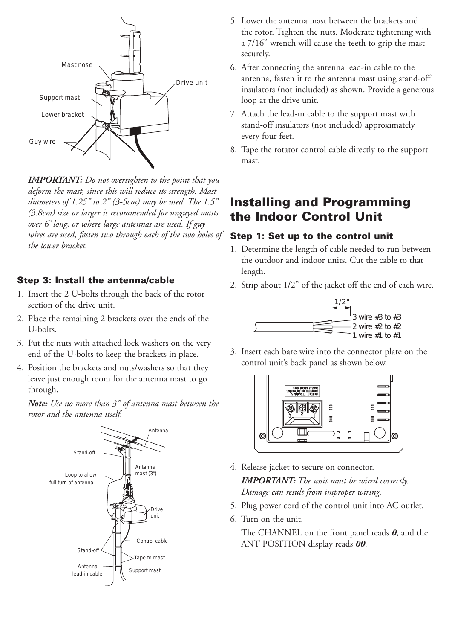

*IMPORTANT: Do not overtighten to the point that you deform the mast, since this will reduce its strength. Mast diameters of 1.25" to 2" (3-5cm) may be used. The 1.5" (3.8cm) size or larger is recommended for unguyed masts over 6' long, or where large antennas are used. If guy wires are used, fasten two through each of the two holes of the lower bracket.*

#### Step 3: Install the antenna/cable

- 1. Insert the 2 U-bolts through the back of the rotor section of the drive unit.
- 2. Place the remaining 2 brackets over the ends of the U-bolts.
- 3. Put the nuts with attached lock washers on the very end of the U-bolts to keep the brackets in place.
- 4. Position the brackets and nuts/washers so that they leave just enough room for the antenna mast to go through.

*Note: Use no more than 3" of antenna mast between the rotor and the antenna itself.*



- 5. Lower the antenna mast between the brackets and the rotor. Tighten the nuts. Moderate tightening with a 7/16" wrench will cause the teeth to grip the mast securely.
- 6. After connecting the antenna lead-in cable to the antenna, fasten it to the antenna mast using stand-off insulators (not included) as shown. Provide a generous loop at the drive unit.
- 7. Attach the lead-in cable to the support mast with stand-off insulators (not included) approximately every four feet.
- 8. Tape the rotator control cable directly to the support mast.

## Installing and Programming the Indoor Control Unit

#### Step 1: Set up to the control unit

- 1. Determine the length of cable needed to run between the outdoor and indoor units. Cut the cable to that length.
- 2. Strip about 1/2" of the jacket off the end of each wire.



3. Insert each bare wire into the connector plate on the control unit's back panel as shown below.



4. Release jacket to secure on connector. *IMPORTANT: The unit must be wired correctly.* 

*Damage can result from improper wiring.*

- 5. Plug power cord of the control unit into AC outlet.
- 6. Turn on the unit.

The CHANNEL on the front panel reads *0*, and the ANT POSITION display reads *00*.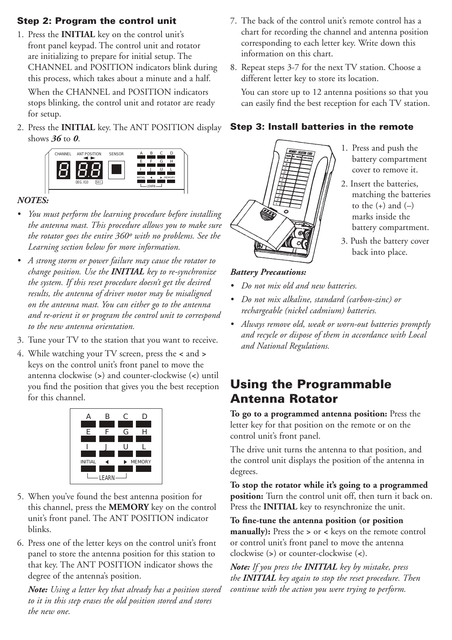### Step 2: Program the control unit

1. Press the **INITIAL** key on the control unit's front panel keypad. The control unit and rotator are initializing to prepare for initial setup. The CHANNEL and POSITION indicators blink during this process, which takes about a minute and a half.

When the CHANNEL and POSITION indicators stops blinking, the control unit and rotator are ready for setup.

2. Press the **INITIAL** key. The ANT POSITION display shows *36* to *0*.



### *NOTES:*

- *• You must perform the learning procedure before installing the antenna mast. This procedure allows you to make sure the rotator goes the entire 360º with no problems. See the Learning section below for more information.*
- *• A strong storm or power failure may cause the rotator to change position. Use the INITIAL key to re-synchronize the system. If this reset procedure doesn't get the desired results, the antenna of driver motor may be misaligned on the antenna mast. You can either go to the antenna and re-orient it or program the control unit to correspond to the new antenna orientation.*
- 3. Tune your TV to the station that you want to receive.
- 4. While watching your TV screen, press the **<** and **>** keys on the control unit's front panel to move the antenna clockwise (**>**) and counter-clockwise (**<**) until you find the position that gives you the best reception for this channel.



- 5. When you've found the best antenna position for this channel, press the **MEMORY** key on the control unit's front panel. The ANT POSITION indicator blinks.
- 6. Press one of the letter keys on the control unit's front panel to store the antenna position for this station to that key. The ANT POSITION indicator shows the degree of the antenna's position.

*Note: Using a letter key that already has a position stored to it in this step erases the old position stored and stores the new one.*

- 7. The back of the control unit's remote control has a chart for recording the channel and antenna position corresponding to each letter key. Write down this information on this chart.
- 8. Repeat steps 3-7 for the next TV station. Choose a different letter key to store its location.

You can store up to 12 antenna positions so that you can easily find the best reception for each TV station.

### Step 3: Install batteries in the remote



- 1. Press and push the battery compartment cover to remove it.
- 2. Insert the batteries, matching the batteries to the  $(+)$  and  $(-)$ marks inside the battery compartment.
- 3. Push the battery cover back into place.

### *Battery Precautions:*

- *• Do not mix old and new batteries.*
- *• Do not mix alkaline, standard (carbon-zinc) or rechargeable (nickel cadmium) batteries.*
- *• Always remove old, weak or worn-out batteries promptly and recycle or dispose of them in accordance with Local and National Regulations.*

## Using the Programmable Antenna Rotator

**To go to a programmed antenna position:** Press the letter key for that position on the remote or on the control unit's front panel.

The drive unit turns the antenna to that position, and the control unit displays the position of the antenna in degrees.

**To stop the rotator while it's going to a programmed position:** Turn the control unit off, then turn it back on. Press the **INITIAL** key to resynchronize the unit.

**To fine-tune the antenna position (or position manually):** Press the **>** or **<** keys on the remote control or control unit's front panel to move the antenna clockwise (**>**) or counter-clockwise (**<**).

*Note: If you press the INITIAL key by mistake, press the INITIAL key again to stop the reset procedure. Then continue with the action you were trying to perform.*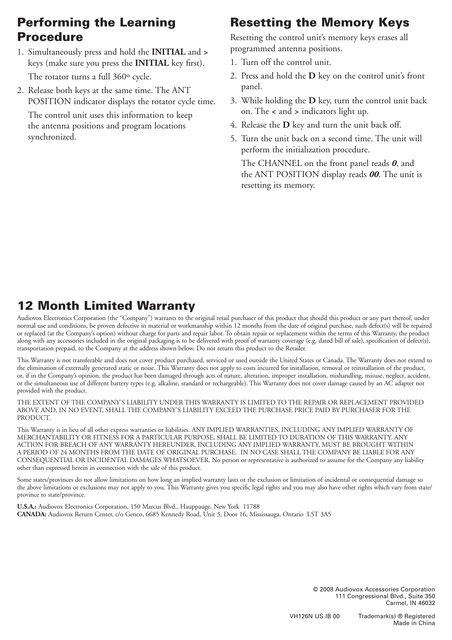## Performing the Learning Procedure

- 1. Simultaneously press and hold the **INITIAL** and **>** keys (make sure you press the **INITIAL** key first). The rotator turns a full 360º cycle.
- 2. Release both keys at the same time. The ANT POSITION indicator displays the rotator cycle time.

The control unit uses this information to keep the antenna positions and program locations synchronized.

# Resetting the Memory Keys

Resetting the control unit's memory keys erases all programmed antenna positions.

- 1. Turn off the control unit.
- 2. Press and hold the **D** key on the control unit's front panel.
- 3. While holding the **D** key, turn the control unit back on. The **<** and **>** indicators light up.
- 4. Release the **D** key and turn the unit back off.
- 5. Turn the unit back on a second time. The unit will perform the initialization procedure.

The CHANNEL on the front panel reads *0*, and the ANT POSITION display reads *00*. The unit is resetting its memory.

# 12 Month Limited Warranty

Audiovox Electronics Corporation (the "Company") warrants to the original retail purchaser of this product that should this product or any part thereof, under normal use and conditions, be proven defective in material or workmanship within 12 months from the date of original purchase, such defect(s) will be repaired or replaced (at the Company's option) without charge for parts and repair labor. To obtain repair or replacement within the terms of this Warranty, the product along with any accessories included in the original packaging is to be delivered with proof of warranty coverage (e.g. dated bill of sale), specification of defect(s), transportation prepaid, to the Company at the address shown below. Do not return this product to the Retailer.

This Warranty is not transferable and does not cover product purchased, serviced or used outside the United States or Canada. The Warranty does not extend to the elimination of externally generated static or noise. This Warranty does not apply to costs incurred for installation, removal or reinstallation of the product, or, if in the Company's opinion, the product has been damaged through acts of nature, alteration, improper installation, mishandling, misuse, neglect, accident, or the simultaneous use of different battery types (e.g. alkaline, standard or rechargeable). This Warranty does not cover damage caused by an AC adapter not provided with the product.

THE EXTENT OF THE COMPANY'S LIABILITY UNDER THIS WARRANTY IS LIMITED TO THE REPAIR OR REPLACEMENT PROVIDED ABOVE AND, IN NO EVENT, SHALL THE COMPANY'S LIABILITY EXCEED THE PURCHASE PRICE PAID BY PURCHASER FOR THE PRODUCT.

This Warranty is in lieu of all other express warranties or liabilities. ANY IMPLIED WARRANTIES, INCLUDING ANY IMPLIED WARRANTY OF MERCHANTABILITY OR FITNESS FOR A PARTICULAR PURPOSE, SHALL BE LIMITED TO DURATION OF THIS WARRANTY. ANY ACTION FOR BREACH OF ANY WARRANTY HEREUNDER, INCLUDING ANY IMPLIED WARRANTY, MUST BE BROUGHT WITHIN A PERIOD OF 24 MONTHS FROM THE DATE OF ORIGINAL PURCHASE. IN NO CASE SHALL THE COMPANY BE LIABLE FOR ANY CONSEQUENTIAL OR INCIDENTAL DAMAGES WHATSOEVER. No person or representative is authorized to assume for the Company any liability other than expressed herein in connection with the sale of this product.

Some states/provinces do not allow limitations on how long an implied warranty lasts or the exclusion or limitation of incidental or consequential damage so the above limitations or exclusions may not apply to you. This Warranty gives you specific legal rights and you may also have other rights which vary from state/ province to state/province.

**U.S.A.:** Audiovox Electronics Corporation, 150 Marcus Blvd., Hauppauge, New York 11788 **CANADA:** Audiovox Return Center, c/o Genco, 6685 Kennedy Road, Unit 3, Door 16, Mississauga, Ontario L5T 3A5

> © 2008 Audiovox Accessories Corporation 111 Congressional Blvd., Suite 350 Carmel, IN 46032